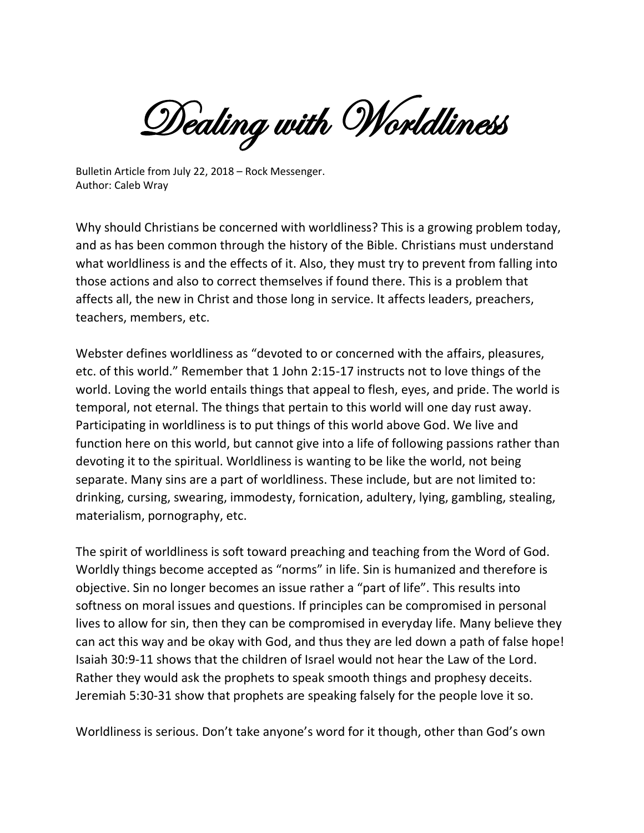Dealing with Worldliness

Bulletin Article from July 22, 2018 – Rock Messenger. Author: Caleb Wray

Why should Christians be concerned with worldliness? This is a growing problem today, and as has been common through the history of the Bible. Christians must understand what worldliness is and the effects of it. Also, they must try to prevent from falling into those actions and also to correct themselves if found there. This is a problem that affects all, the new in Christ and those long in service. It affects leaders, preachers, teachers, members, etc.

Webster defines worldliness as "devoted to or concerned with the affairs, pleasures, etc. of this world." Remember that 1 John 2:15-17 instructs not to love things of the world. Loving the world entails things that appeal to flesh, eyes, and pride. The world is temporal, not eternal. The things that pertain to this world will one day rust away. Participating in worldliness is to put things of this world above God. We live and function here on this world, but cannot give into a life of following passions rather than devoting it to the spiritual. Worldliness is wanting to be like the world, not being separate. Many sins are a part of worldliness. These include, but are not limited to: drinking, cursing, swearing, immodesty, fornication, adultery, lying, gambling, stealing, materialism, pornography, etc.

The spirit of worldliness is soft toward preaching and teaching from the Word of God. Worldly things become accepted as "norms" in life. Sin is humanized and therefore is objective. Sin no longer becomes an issue rather a "part of life". This results into softness on moral issues and questions. If principles can be compromised in personal lives to allow for sin, then they can be compromised in everyday life. Many believe they can act this way and be okay with God, and thus they are led down a path of false hope! Isaiah 30:9-11 shows that the children of Israel would not hear the Law of the Lord. Rather they would ask the prophets to speak smooth things and prophesy deceits. Jeremiah 5:30-31 show that prophets are speaking falsely for the people love it so.

Worldliness is serious. Don't take anyone's word for it though, other than God's own